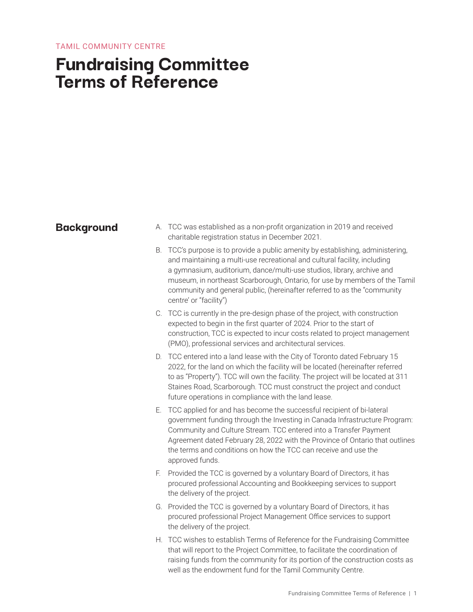# **Fundraising Committee Terms of Reference**

- **Background** A. TCC was established as a non-profit organization in 2019 and received charitable registration status in December 2021.
	- B. TCC's purpose is to provide a public amenity by establishing, administering, and maintaining a multi-use recreational and cultural facility, including a gymnasium, auditorium, dance/multi-use studios, library, archive and museum, in northeast Scarborough, Ontario, for use by members of the Tamil community and general public, (hereinafter referred to as the "community centre' or "facility")
	- C. TCC is currently in the pre-design phase of the project, with construction expected to begin in the first quarter of 2024. Prior to the start of construction, TCC is expected to incur costs related to project management (PMO), professional services and architectural services.
	- D. TCC entered into a land lease with the City of Toronto dated February 15 2022, for the land on which the facility will be located (hereinafter referred to as "Property"). TCC will own the facility. The project will be located at 311 Staines Road, Scarborough. TCC must construct the project and conduct future operations in compliance with the land lease.
	- E. TCC applied for and has become the successful recipient of bi-lateral government funding through the Investing in Canada Infrastructure Program: Community and Culture Stream. TCC entered into a Transfer Payment Agreement dated February 28, 2022 with the Province of Ontario that outlines the terms and conditions on how the TCC can receive and use the approved funds.
	- F. Provided the TCC is governed by a voluntary Board of Directors, it has procured professional Accounting and Bookkeeping services to support the delivery of the project.
	- G. Provided the TCC is governed by a voluntary Board of Directors, it has procured professional Project Management Office services to support the delivery of the project.
	- H. TCC wishes to establish Terms of Reference for the Fundraising Committee that will report to the Project Committee, to facilitate the coordination of raising funds from the community for its portion of the construction costs as well as the endowment fund for the Tamil Community Centre.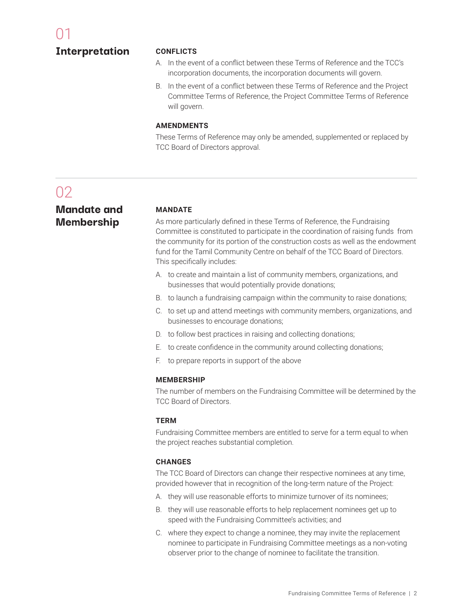### **Interpretation**

### **CONFLICTS**

- A. In the event of a conflict between these Terms of Reference and the TCC's incorporation documents, the incorporation documents will govern.
- B. In the event of a conflict between these Terms of Reference and the Project Committee Terms of Reference, the Project Committee Terms of Reference will govern.

### **AMENDMENTS**

These Terms of Reference may only be amended, supplemented or replaced by TCC Board of Directors approval.

# $\Omega$

**Mandate and Membership**

### **MANDATE**

As more particularly defined in these Terms of Reference, the Fundraising Committee is constituted to participate in the coordination of raising funds from the community for its portion of the construction costs as well as the endowment fund for the Tamil Community Centre on behalf of the TCC Board of Directors. This specifically includes:

- A. to create and maintain a list of community members, organizations, and businesses that would potentially provide donations;
- B. to launch a fundraising campaign within the community to raise donations;
- C. to set up and attend meetings with community members, organizations, and businesses to encourage donations;
- D. to follow best practices in raising and collecting donations;
- E. to create confidence in the community around collecting donations;
- F. to prepare reports in support of the above

### **MEMBERSHIP**

The number of members on the Fundraising Committee will be determined by the TCC Board of Directors.

### **TERM**

Fundraising Committee members are entitled to serve for a term equal to when the project reaches substantial completion.

### **CHANGES**

The TCC Board of Directors can change their respective nominees at any time, provided however that in recognition of the long-term nature of the Project:

- A. they will use reasonable efforts to minimize turnover of its nominees;
- B. they will use reasonable efforts to help replacement nominees get up to speed with the Fundraising Committee's activities; and
- C. where they expect to change a nominee, they may invite the replacement nominee to participate in Fundraising Committee meetings as a non-voting observer prior to the change of nominee to facilitate the transition.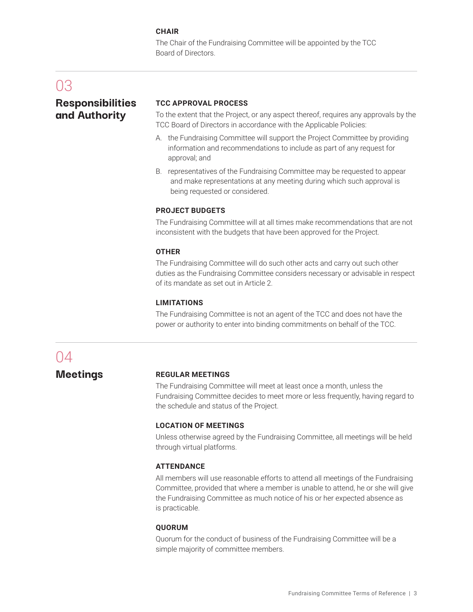### **CHAIR**

The Chair of the Fundraising Committee will be appointed by the TCC Board of Directors.

## 03

### **Responsibilities and Authority**

### **TCC APPROVAL PROCESS**

To the extent that the Project, or any aspect thereof, requires any approvals by the TCC Board of Directors in accordance with the Applicable Policies:

- A. the Fundraising Committee will support the Project Committee by providing information and recommendations to include as part of any request for approval; and
- B. representatives of the Fundraising Committee may be requested to appear and make representations at any meeting during which such approval is being requested or considered.

### **PROJECT BUDGETS**

The Fundraising Committee will at all times make recommendations that are not inconsistent with the budgets that have been approved for the Project.

### **OTHER**

The Fundraising Committee will do such other acts and carry out such other duties as the Fundraising Committee considers necessary or advisable in respect of its mandate as set out in Article 2.

### **LIMITATIONS**

The Fundraising Committee is not an agent of the TCC and does not have the power or authority to enter into binding commitments on behalf of the TCC.

### 04

**Meetings**

### **REGULAR MEETINGS**

The Fundraising Committee will meet at least once a month, unless the Fundraising Committee decides to meet more or less frequently, having regard to the schedule and status of the Project.

### **LOCATION OF MEETINGS**

Unless otherwise agreed by the Fundraising Committee, all meetings will be held through virtual platforms.

### **ATTENDANCE**

All members will use reasonable efforts to attend all meetings of the Fundraising Committee, provided that where a member is unable to attend, he or she will give the Fundraising Committee as much notice of his or her expected absence as is practicable.

### **QUORUM**

Quorum for the conduct of business of the Fundraising Committee will be a simple majority of committee members.